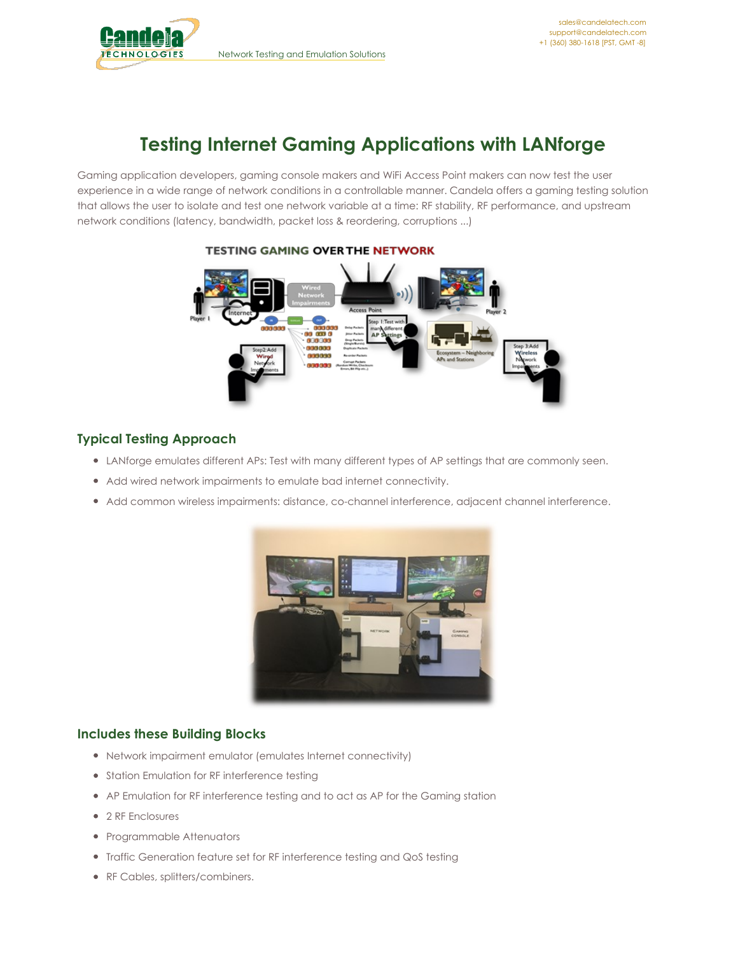

# **Testing Internet Gaming Applications with LANforge**

Gaming application developers, gaming console makers and WiFi Access Point makers can now test the user experience in a wide range of network conditions in a controllable manner. Candela offers a gaming testing solution that allows the user to isolate and test one network variable at a time: RF stability, RF performance, and upstream network conditions (latency, bandwidth, packet loss & reordering, corruptions ...)



## **TESTING GAMING OVER THE NETWORK**

# **Typical Testing Approach**

- LANforge emulates different APs: Test with many different types of AP settings that are commonly seen.
- Add wired network impairments to emulate bad internet connectivity.
- Add common wireless impairments: distance, co-channel interference, adjacent channel interference.



## **Includes these Building Blocks**

- Network impairment emulator (emulates Internet connectivity)
- **•** Station Emulation for RF interference testing
- AP Emulation for RF interference testing and to act as AP for the Gaming station
- 2 RF Enclosures
- Programmable Attenuators
- Traffic Generation feature set for RF interference testing and QoS testing
- RF Cables, splitters/combiners.